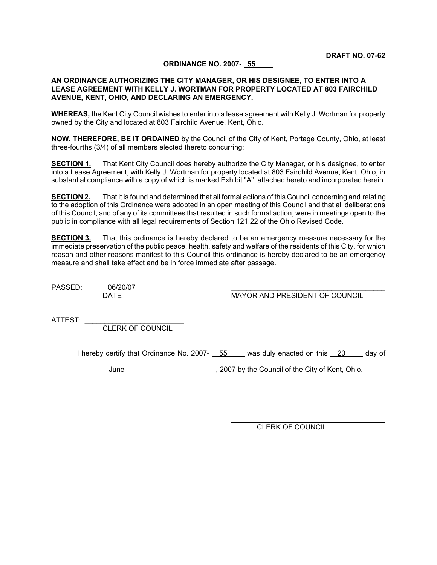#### **ORDINANCE NO. 2007- 55**

#### **AN ORDINANCE AUTHORIZING THE CITY MANAGER, OR HIS DESIGNEE, TO ENTER INTO A LEASE AGREEMENT WITH KELLY J. WORTMAN FOR PROPERTY LOCATED AT 803 FAIRCHILD AVENUE, KENT, OHIO, AND DECLARING AN EMERGENCY.**

**WHEREAS,** the Kent City Council wishes to enter into a lease agreement with Kelly J. Wortman for property owned by the City and located at 803 Fairchild Avenue, Kent, Ohio.

**NOW, THEREFORE, BE IT ORDAINED** by the Council of the City of Kent, Portage County, Ohio, at least three-fourths (3/4) of all members elected thereto concurring:

**SECTION 1.** That Kent City Council does hereby authorize the City Manager, or his designee, to enter into a Lease Agreement, with Kelly J. Wortman for property located at 803 Fairchild Avenue, Kent, Ohio, in substantial compliance with a copy of which is marked Exhibit "A", attached hereto and incorporated herein.

**SECTION 2.** That it is found and determined that all formal actions of this Council concerning and relating to the adoption of this Ordinance were adopted in an open meeting of this Council and that all deliberations of this Council, and of any of its committees that resulted in such formal action, were in meetings open to the public in compliance with all legal requirements of Section 121.22 of the Ohio Revised Code.

**SECTION 3.** That this ordinance is hereby declared to be an emergency measure necessary for the immediate preservation of the public peace, health, safety and welfare of the residents of this City, for which reason and other reasons manifest to this Council this ordinance is hereby declared to be an emergency measure and shall take effect and be in force immediate after passage.

PASSED: 06/20/07

MAYOR AND PRESIDENT OF COUNCIL

ATTEST:

CLERK OF COUNCIL

I hereby certify that Ordinance No. 2007- 55 was duly enacted on this 20 day of

June June 2007 by the Council of the City of Kent, Ohio.

CLERK OF COUNCIL

 $\mathcal{L}_\text{max}$  and  $\mathcal{L}_\text{max}$  and  $\mathcal{L}_\text{max}$  and  $\mathcal{L}_\text{max}$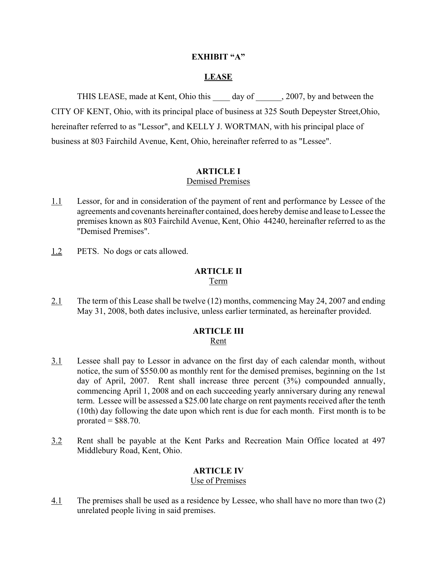#### **EXHIBIT "A"**

#### **LEASE**

THIS LEASE, made at Kent, Ohio this day of 2007, by and between the CITY OF KENT, Ohio, with its principal place of business at 325 South Depeyster Street,Ohio, hereinafter referred to as "Lessor", and KELLY J. WORTMAN, with his principal place of business at 803 Fairchild Avenue, Kent, Ohio, hereinafter referred to as "Lessee".

### **ARTICLE I**

#### Demised Premises

- 1.1 Lessor, for and in consideration of the payment of rent and performance by Lessee of the agreements and covenants hereinafter contained, does hereby demise and lease to Lessee the premises known as 803 Fairchild Avenue, Kent, Ohio 44240, hereinafter referred to as the "Demised Premises".
- 1.2 PETS. No dogs or cats allowed.

# **ARTICLE II**

#### Term

2.1 The term of this Lease shall be twelve (12) months, commencing May 24, 2007 and ending May 31, 2008, both dates inclusive, unless earlier terminated, as hereinafter provided.

#### **ARTICLE III** Rent

- 3.1 Lessee shall pay to Lessor in advance on the first day of each calendar month, without notice, the sum of \$550.00 as monthly rent for the demised premises, beginning on the 1st day of April, 2007. Rent shall increase three percent (3%) compounded annually, commencing April 1, 2008 and on each succeeding yearly anniversary during any renewal term. Lessee will be assessed a \$25.00 late charge on rent payments received after the tenth (10th) day following the date upon which rent is due for each month. First month is to be prorated  $=$  \$88.70.
- 3.2 Rent shall be payable at the Kent Parks and Recreation Main Office located at 497 Middlebury Road, Kent, Ohio.

### **ARTICLE IV**

#### Use of Premises

4.1 The premises shall be used as a residence by Lessee, who shall have no more than two (2) unrelated people living in said premises.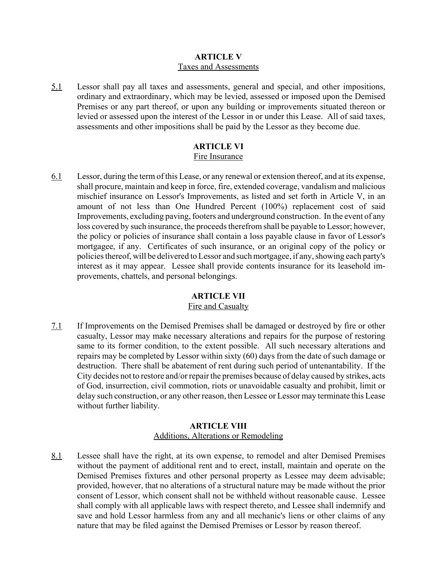#### **ARTICLE V** Taxes and Assessments

5.1 Lessor shall pay all taxes and assessments, general and special, and other impositions, ordinary and extraordinary, which may be levied, assessed or imposed upon the Demised Premises or any part thereof, or upon any building or improvements situated thereon or levied or assessed upon the interest of the Lessor in or under this Lease. All of said taxes, assessments and other impositions shall be paid by the Lessor as they become due.

#### **ARTICLE VI** Fire Insurance

6.1 Lessor, during the term of this Lease, or any renewal or extension thereof, and at its expense, shall procure, maintain and keep in force, fire, extended coverage, vandalism and malicious mischief insurance on Lessor's Improvements, as listed and set forth in Article V, in an amount of not less than One Hundred Percent (100%) replacement cost of said Improvements, excluding paving, footers and underground construction. In the event of any loss covered by such insurance, the proceeds therefrom shall be payable to Lessor; however, the policy or policies of insurance shall contain a loss payable clause in favor of Lessor's mortgagee, if any. Certificates of such insurance, or an original copy of the policy or policies thereof, will be delivered to Lessor and such mortgagee, if any, showing each party's interest as it may appear. Lessee shall provide contents insurance for its leasehold improvements, chattels, and personal belongings.

# **ARTICLE VII**

# Fire and Casualty

7.1 If Improvements on the Demised Premises shall be damaged or destroyed by fire or other casualty, Lessor may make necessary alterations and repairs for the purpose of restoring same to its former condition, to the extent possible. All such necessary alterations and repairs may be completed by Lessor within sixty (60) days from the date of such damage or destruction. There shall be abatement of rent during such period of untenantability. If the City decides not to restore and/or repair the premises because of delay caused by strikes, acts of God, insurrection, civil commotion, riots or unavoidable casualty and prohibit, limit or delay such construction, or any other reason, then Lessee or Lessor may terminate this Lease without further liability.

### **ARTICLE VIII** Additions, Alterations or Remodeling

8.1 Lessee shall have the right, at its own expense, to remodel and alter Demised Premises without the payment of additional rent and to erect, install, maintain and operate on the Demised Premises fixtures and other personal property as Lessee may deem advisable; provided, however, that no alterations of a structural nature may be made without the prior consent of Lessor, which consent shall not be withheld without reasonable cause. Lessee shall comply with all applicable laws with respect thereto, and Lessee shall indemnify and save and hold Lessor harmless from any and all mechanic's liens or other claims of any nature that may be filed against the Demised Premises or Lessor by reason thereof.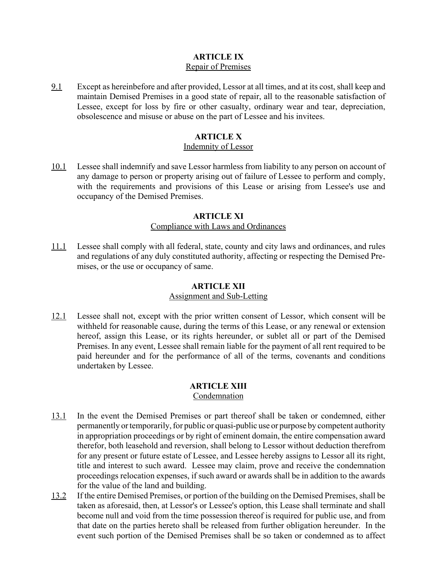# **ARTICLE IX** Repair of Premises

9.1 Except as hereinbefore and after provided, Lessor at all times, and at its cost, shall keep and maintain Demised Premises in a good state of repair, all to the reasonable satisfaction of Lessee, except for loss by fire or other casualty, ordinary wear and tear, depreciation, obsolescence and misuse or abuse on the part of Lessee and his invitees.

## **ARTICLE X**

#### Indemnity of Lessor

10.1 Lessee shall indemnify and save Lessor harmless from liability to any person on account of any damage to person or property arising out of failure of Lessee to perform and comply, with the requirements and provisions of this Lease or arising from Lessee's use and occupancy of the Demised Premises.

#### **ARTICLE XI** Compliance with Laws and Ordinances

11.1 Lessee shall comply with all federal, state, county and city laws and ordinances, and rules and regulations of any duly constituted authority, affecting or respecting the Demised Premises, or the use or occupancy of same.

#### **ARTICLE XII**

#### Assignment and Sub-Letting

12.1 Lessee shall not, except with the prior written consent of Lessor, which consent will be withheld for reasonable cause, during the terms of this Lease, or any renewal or extension hereof, assign this Lease, or its rights hereunder, or sublet all or part of the Demised Premises. In any event, Lessee shall remain liable for the payment of all rent required to be paid hereunder and for the performance of all of the terms, covenants and conditions undertaken by Lessee.

#### **ARTICLE XIII** Condemnation

- 13.1 In the event the Demised Premises or part thereof shall be taken or condemned, either permanently or temporarily, for public or quasi-public use or purpose by competent authority in appropriation proceedings or by right of eminent domain, the entire compensation award therefor, both leasehold and reversion, shall belong to Lessor without deduction therefrom for any present or future estate of Lessee, and Lessee hereby assigns to Lessor all its right, title and interest to such award. Lessee may claim, prove and receive the condemnation proceedings relocation expenses, if such award or awards shall be in addition to the awards for the value of the land and building.
- 13.2 If the entire Demised Premises, or portion of the building on the Demised Premises, shall be taken as aforesaid, then, at Lessor's or Lessee's option, this Lease shall terminate and shall become null and void from the time possession thereof is required for public use, and from that date on the parties hereto shall be released from further obligation hereunder. In the event such portion of the Demised Premises shall be so taken or condemned as to affect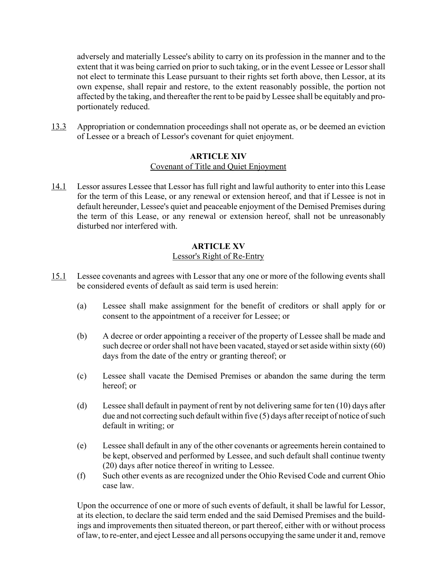adversely and materially Lessee's ability to carry on its profession in the manner and to the extent that it was being carried on prior to such taking, or in the event Lessee or Lessor shall not elect to terminate this Lease pursuant to their rights set forth above, then Lessor, at its own expense, shall repair and restore, to the extent reasonably possible, the portion not affected by the taking, and thereafter the rent to be paid by Lessee shall be equitably and proportionately reduced.

13.3 Appropriation or condemnation proceedings shall not operate as, or be deemed an eviction of Lessee or a breach of Lessor's covenant for quiet enjoyment.

#### **ARTICLE XIV** Covenant of Title and Quiet Enjoyment

14.1 Lessor assures Lessee that Lessor has full right and lawful authority to enter into this Lease for the term of this Lease, or any renewal or extension hereof, and that if Lessee is not in default hereunder, Lessee's quiet and peaceable enjoyment of the Demised Premises during the term of this Lease, or any renewal or extension hereof, shall not be unreasonably disturbed nor interfered with.

#### **ARTICLE XV** Lessor's Right of Re-Entry

- 15.1 Lessee covenants and agrees with Lessor that any one or more of the following events shall be considered events of default as said term is used herein:
	- (a) Lessee shall make assignment for the benefit of creditors or shall apply for or consent to the appointment of a receiver for Lessee; or
	- (b) A decree or order appointing a receiver of the property of Lessee shall be made and such decree or order shall not have been vacated, stayed or set aside within sixty (60) days from the date of the entry or granting thereof; or
	- (c) Lessee shall vacate the Demised Premises or abandon the same during the term hereof; or
	- (d) Lessee shall default in payment of rent by not delivering same for ten (10) days after due and not correcting such default within five (5) days after receipt of notice of such default in writing; or
	- (e) Lessee shall default in any of the other covenants or agreements herein contained to be kept, observed and performed by Lessee, and such default shall continue twenty (20) days after notice thereof in writing to Lessee.
	- (f) Such other events as are recognized under the Ohio Revised Code and current Ohio case law.

Upon the occurrence of one or more of such events of default, it shall be lawful for Lessor, at its election, to declare the said term ended and the said Demised Premises and the buildings and improvements then situated thereon, or part thereof, either with or without process of law, to re-enter, and eject Lessee and all persons occupying the same under it and, remove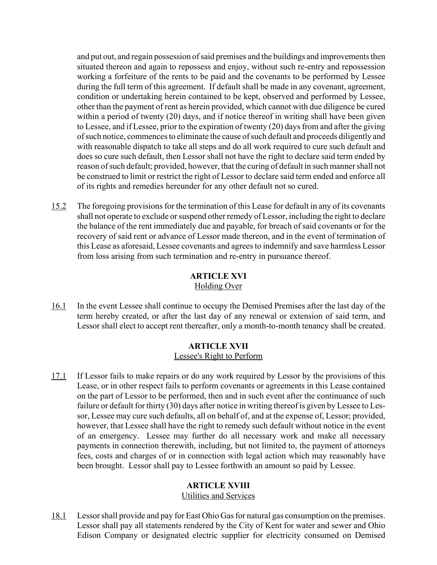and put out, and regain possession of said premises and the buildings and improvements then situated thereon and again to repossess and enjoy, without such re-entry and repossession working a forfeiture of the rents to be paid and the covenants to be performed by Lessee during the full term of this agreement. If default shall be made in any covenant, agreement, condition or undertaking herein contained to be kept, observed and performed by Lessee, other than the payment of rent as herein provided, which cannot with due diligence be cured within a period of twenty (20) days, and if notice thereof in writing shall have been given to Lessee, and if Lessee, prior to the expiration of twenty (20) days from and after the giving of such notice, commences to eliminate the cause of such default and proceeds diligently and with reasonable dispatch to take all steps and do all work required to cure such default and does so cure such default, then Lessor shall not have the right to declare said term ended by reason of such default; provided, however, that the curing of default in such manner shall not be construed to limit or restrict the right of Lessor to declare said term ended and enforce all of its rights and remedies hereunder for any other default not so cured.

15.2 The foregoing provisions for the termination of this Lease for default in any of its covenants shall not operate to exclude or suspend other remedy of Lessor, including the right to declare the balance of the rent immediately due and payable, for breach of said covenants or for the recovery of said rent or advance of Lessor made thereon, and in the event of termination of this Lease as aforesaid, Lessee covenants and agrees to indemnify and save harmless Lessor from loss arising from such termination and re-entry in pursuance thereof.

#### **ARTICLE XVI** Holding Over

16.1 In the event Lessee shall continue to occupy the Demised Premises after the last day of the term hereby created, or after the last day of any renewal or extension of said term, and Lessor shall elect to accept rent thereafter, only a month-to-month tenancy shall be created.

#### **ARTICLE XVII** Lessee's Right to Perform

17.1 If Lessor fails to make repairs or do any work required by Lessor by the provisions of this Lease, or in other respect fails to perform covenants or agreements in this Lease contained on the part of Lessor to be performed, then and in such event after the continuance of such failure or default for thirty (30) days after notice in writing thereof is given by Lessee to Lessor, Lessee may cure such defaults, all on behalf of, and at the expense of, Lessor; provided, however, that Lessee shall have the right to remedy such default without notice in the event of an emergency. Lessee may further do all necessary work and make all necessary payments in connection therewith, including, but not limited to, the payment of attorneys fees, costs and charges of or in connection with legal action which may reasonably have been brought. Lessor shall pay to Lessee forthwith an amount so paid by Lessee.

# **ARTICLE XVIII**

#### Utilities and Services

18.1 Lessor shall provide and pay for East Ohio Gas for natural gas consumption on the premises. Lessor shall pay all statements rendered by the City of Kent for water and sewer and Ohio Edison Company or designated electric supplier for electricity consumed on Demised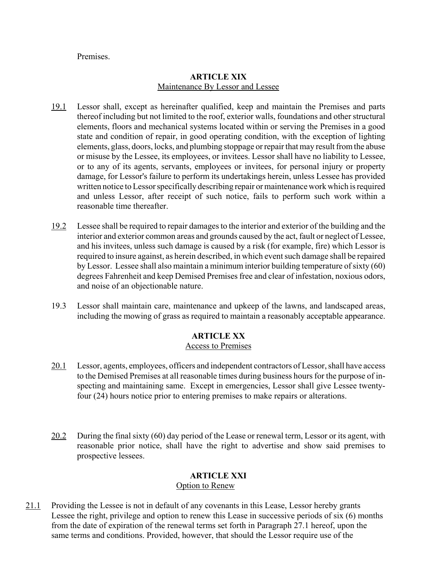#### **Premises**

#### **ARTICLE XIX** Maintenance By Lessor and Lessee

- 19.1 Lessor shall, except as hereinafter qualified, keep and maintain the Premises and parts thereof including but not limited to the roof, exterior walls, foundations and other structural elements, floors and mechanical systems located within or serving the Premises in a good state and condition of repair, in good operating condition, with the exception of lighting elements, glass, doors, locks, and plumbing stoppage or repair that may result from the abuse or misuse by the Lessee, its employees, or invitees. Lessor shall have no liability to Lessee, or to any of its agents, servants, employees or invitees, for personal injury or property damage, for Lessor's failure to perform its undertakings herein, unless Lessee has provided written notice to Lessor specifically describing repair or maintenance work which is required and unless Lessor, after receipt of such notice, fails to perform such work within a reasonable time thereafter.
- 19.2 Lessee shall be required to repair damages to the interior and exterior of the building and the interior and exterior common areas and grounds caused by the act, fault or neglect of Lessee, and his invitees, unless such damage is caused by a risk (for example, fire) which Lessor is required to insure against, as herein described, in which event such damage shall be repaired by Lessor. Lessee shall also maintain a minimum interior building temperature of sixty (60) degrees Fahrenheit and keep Demised Premises free and clear of infestation, noxious odors, and noise of an objectionable nature.
- 19.3 Lessor shall maintain care, maintenance and upkeep of the lawns, and landscaped areas, including the mowing of grass as required to maintain a reasonably acceptable appearance.

# **ARTICLE XX**

### Access to Premises

- 20.1 Lessor, agents, employees, officers and independent contractors of Lessor, shall have access to the Demised Premises at all reasonable times during business hours for the purpose of inspecting and maintaining same. Except in emergencies, Lessor shall give Lessee twentyfour (24) hours notice prior to entering premises to make repairs or alterations.
- 20.2 During the final sixty (60) day period of the Lease or renewal term, Lessor or its agent, with reasonable prior notice, shall have the right to advertise and show said premises to prospective lessees.

# **ARTICLE XXI**

# Option to Renew

21.1 Providing the Lessee is not in default of any covenants in this Lease, Lessor hereby grants Lessee the right, privilege and option to renew this Lease in successive periods of six (6) months from the date of expiration of the renewal terms set forth in Paragraph 27.1 hereof, upon the same terms and conditions. Provided, however, that should the Lessor require use of the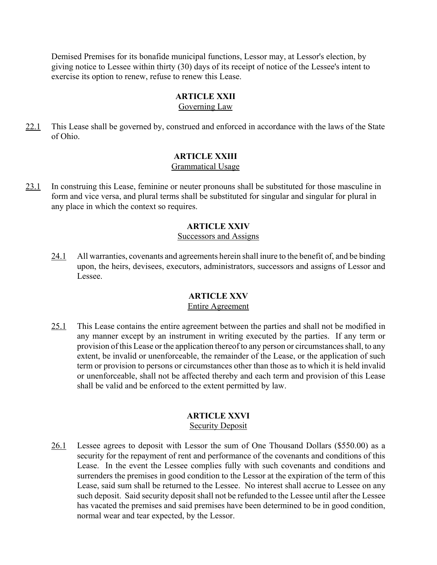Demised Premises for its bonafide municipal functions, Lessor may, at Lessor's election, by giving notice to Lessee within thirty (30) days of its receipt of notice of the Lessee's intent to exercise its option to renew, refuse to renew this Lease.

## **ARTICLE XXII**

Governing Law

22.1 This Lease shall be governed by, construed and enforced in accordance with the laws of the State of Ohio.

# **ARTICLE XXIII**

#### Grammatical Usage

23.1 In construing this Lease, feminine or neuter pronouns shall be substituted for those masculine in form and vice versa, and plural terms shall be substituted for singular and singular for plural in any place in which the context so requires.

### **ARTICLE XXIV**

#### Successors and Assigns

24.1 All warranties, covenants and agreements herein shall inure to the benefit of, and be binding upon, the heirs, devisees, executors, administrators, successors and assigns of Lessor and Lessee.

#### **ARTICLE XXV** Entire Agreement

25.1 This Lease contains the entire agreement between the parties and shall not be modified in any manner except by an instrument in writing executed by the parties. If any term or provision of this Lease or the application thereof to any person or circumstances shall, to any extent, be invalid or unenforceable, the remainder of the Lease, or the application of such term or provision to persons or circumstances other than those as to which it is held invalid or unenforceable, shall not be affected thereby and each term and provision of this Lease shall be valid and be enforced to the extent permitted by law.

#### **ARTICLE XXVI** Security Deposit

26.1 Lessee agrees to deposit with Lessor the sum of One Thousand Dollars (\$550.00) as a security for the repayment of rent and performance of the covenants and conditions of this Lease. In the event the Lessee complies fully with such covenants and conditions and surrenders the premises in good condition to the Lessor at the expiration of the term of this Lease, said sum shall be returned to the Lessee. No interest shall accrue to Lessee on any such deposit. Said security deposit shall not be refunded to the Lessee until after the Lessee has vacated the premises and said premises have been determined to be in good condition, normal wear and tear expected, by the Lessor.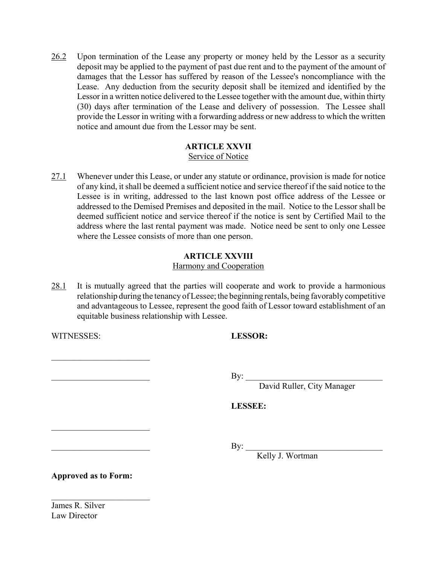26.2 Upon termination of the Lease any property or money held by the Lessor as a security deposit may be applied to the payment of past due rent and to the payment of the amount of damages that the Lessor has suffered by reason of the Lessee's noncompliance with the Lease. Any deduction from the security deposit shall be itemized and identified by the Lessor in a written notice delivered to the Lessee together with the amount due, within thirty (30) days after termination of the Lease and delivery of possession. The Lessee shall provide the Lessor in writing with a forwarding address or new address to which the written notice and amount due from the Lessor may be sent.

# **ARTICLE XXVII**

# Service of Notice

27.1 Whenever under this Lease, or under any statute or ordinance, provision is made for notice of any kind, it shall be deemed a sufficient notice and service thereof if the said notice to the Lessee is in writing, addressed to the last known post office address of the Lessee or addressed to the Demised Premises and deposited in the mail. Notice to the Lessor shall be deemed sufficient notice and service thereof if the notice is sent by Certified Mail to the address where the last rental payment was made. Notice need be sent to only one Lessee where the Lessee consists of more than one person.

# **ARTICLE XXVIII**

# Harmony and Cooperation

28.1 It is mutually agreed that the parties will cooperate and work to provide a harmonious relationship during the tenancy of Lessee; the beginning rentals, being favorably competitive and advantageous to Lessee, represent the good faith of Lessor toward establishment of an equitable business relationship with Lessee.

WITNESSES: **LESSOR:**

 $\mathcal{L}_\text{max}$  , where  $\mathcal{L}_\text{max}$  , we have the set of  $\mathcal{L}_\text{max}$ 

 $\mathcal{L}_\text{max}$  , where  $\mathcal{L}_\text{max}$  , we have the set of  $\mathcal{L}_\text{max}$ 

 $\rm\,By:$ 

David Ruller, City Manager

### **LESSEE:**

 $\rm\,By:$ 

Kelly J. Wortman

**Approved as to Form:**

 $\mathcal{L}_\text{max}$ 

James R. Silver Law Director